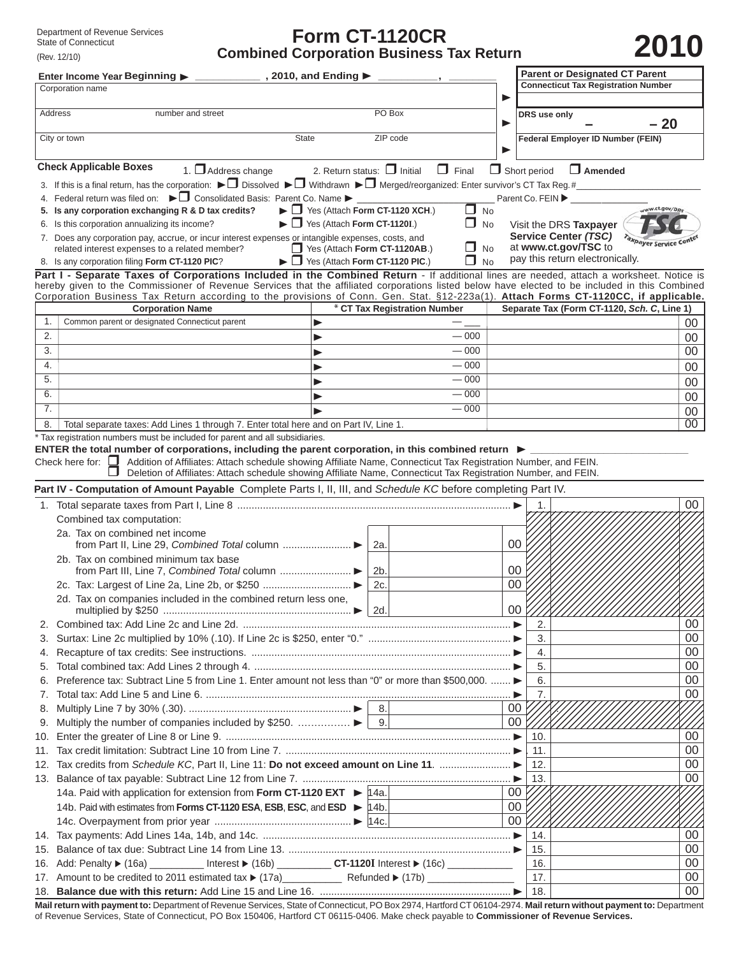# **Form CT-1120CR** Department of Revenue Services<br>
State of Connecticut<br> **Combined Corporation Business Tax Return**<br> **2010** Combined Corporation Business Tax Return

| <b>Connecticut Tax Registration Number</b><br>Corporation name<br>PO Box<br>Address<br>number and street<br>DRS use only<br>$-20$<br>ZIP code<br>City or town<br><b>State</b><br>Federal Employer ID Number (FEIN)<br><b>Check Applicable Boxes</b><br>1. $\Box$ Address change<br>2. Return status: $\Box$ Initial<br>$\Box$ Final<br>$\Box$ Short period<br>$\Box$ Amended<br>3. If this is a final return, has the corporation: $\blacktriangleright \square$ Dissolved $\blacktriangleright \square$ Withdrawn $\blacktriangleright \square$ Merged/reorganized: Enter survivor's CT Tax Reg. #<br>4. Federal return was filed on: ▶ □ Consolidated Basis: Parent Co. Name ▶ _________________________<br>Parent Co. FEIN ><br>$\blacktriangleright$ $\Box$ Yes (Attach Form CT-1120 XCH.)<br>5. Is any corporation exchanging R & D tax credits?<br>ww.ct.gov/DRs<br>$\Box$ No<br>$\blacktriangleright$ $\Box$ Yes (Attach Form CT-1120I.)<br>$\Box$ No<br>6. Is this corporation annualizing its income?<br>Visit the DRS Taxpayer<br>Service Center (TSC)<br>7. Does any corporation pay, accrue, or incur interest expenses or intangible expenses, costs, and<br><b>Taxpayer Service</b><br>at www.ct.gov/TSC to<br>$\Box$ No<br>Yes (Attach Form CT-1120AB.)<br>related interest expenses to a related member?<br>pay this return electronically.<br>Yes (Attach Form CT-1120 PIC.)<br>8. Is any corporation filing Form CT-1120 PIC?<br>П.<br><b>No</b><br>Part I - Separate Taxes of Corporations Included in the Combined Return - If additional lines are needed, attach a worksheet. Notice is<br>hereby given to the Commissioner of Revenue Services that the affiliated corporations listed below have elected to be included in this Combined<br>Corporation Business Tax Return according to the provisions of Conn. Gen. Stat. §12-223a(1). Attach Forms CT-1120CC, if applicable.<br>* CT Tax Registration Number<br>Separate Tax (Form CT-1120, Sch. C, Line 1)<br><b>Corporation Name</b><br>1.<br>Common parent or designated Connecticut parent<br>▶<br>00<br>2.<br>$-000$<br>00<br>▶<br>3.<br>$-000$<br>00<br>▶<br>$-000$<br>4.<br>00<br>5.<br>$-000$<br>00<br>6.<br>$-000$<br>00<br>7.<br>$-000$<br>00<br>00<br>Total separate taxes: Add Lines 1 through 7. Enter total here and on Part IV, Line 1.<br>8.<br>* Tax registration numbers must be included for parent and all subsidiaries.<br>ENTER the total number of corporations, including the parent corporation, in this combined return $\blacktriangleright$<br>Check here for: □ Addition of Affiliates: Attach schedule showing Affiliate Name, Connecticut Tax Registration Number, and FEIN.<br>H<br>Deletion of Affiliates: Attach schedule showing Affiliate Name, Connecticut Tax Registration Number, and FEIN.<br>Part IV - Computation of Amount Payable Complete Parts I, II, III, and Schedule KC before completing Part IV.<br>00<br>Combined tax computation:<br>2a. Tax on combined net income<br>00<br>2a.<br>2b. Tax on combined minimum tax base<br>00<br>2 <sub>b</sub><br>00<br>2c<br>2d. Tax on companies included in the combined return less one,<br>00<br>2.<br>$00\,$<br>3.<br>$00\,$<br>4.<br>00<br>5.<br>Preference tax: Subtract Line 5 from Line 1. Enter amount not less than "0" or more than \$500,000.  ▶<br>$00\,$<br>6.<br>6.<br>00<br>7.<br>7.<br>00<br>8.<br>$00\,$<br>9.<br>00<br>10.<br>00<br>-11.<br>12. Tax credits from Schedule KC, Part II, Line 11: Do not exceed amount on Line 11.<br>00<br>-12.<br>00<br>13.<br>00<br>14a. Paid with application for extension from Form CT-1120 EXT ► 14a.<br>$00\,$<br>14b. Paid with estimates from Forms CT-1120 ESA, ESB, ESC, and ESD > 14b.<br>00<br>00<br>14.<br>00<br>15.<br>00<br>16. Add: Penalty ▶ (16a) __________ Interest ▶ (16b) ___________ CT-1120I Interest ▶ (16c) _____________<br>16.<br>17.<br>00 | Enter Income Year Beginning ▶ ________________, 2010, and Ending ▶ |  |  |     | <b>Parent or Designated CT Parent</b> |    |
|------------------------------------------------------------------------------------------------------------------------------------------------------------------------------------------------------------------------------------------------------------------------------------------------------------------------------------------------------------------------------------------------------------------------------------------------------------------------------------------------------------------------------------------------------------------------------------------------------------------------------------------------------------------------------------------------------------------------------------------------------------------------------------------------------------------------------------------------------------------------------------------------------------------------------------------------------------------------------------------------------------------------------------------------------------------------------------------------------------------------------------------------------------------------------------------------------------------------------------------------------------------------------------------------------------------------------------------------------------------------------------------------------------------------------------------------------------------------------------------------------------------------------------------------------------------------------------------------------------------------------------------------------------------------------------------------------------------------------------------------------------------------------------------------------------------------------------------------------------------------------------------------------------------------------------------------------------------------------------------------------------------------------------------------------------------------------------------------------------------------------------------------------------------------------------------------------------------------------------------------------------------------------------------------------------------------------------------------------------------------------------------------------------------------------------------------------------------------------------------------------------------------------------------------------------------------------------------------------------------------------------------------------------------------------------------------------------------------------------------------------------------------------------------------------------------------------------------------------------------------------------------------------------------------------------------------------------------------------------------------------------------------------------------------------------------------------------------------------------------------------------------------------------------------------------------------------------------------------------------------------------------------------------------------------------------------------------------------------------------------------------------------------------------------------------------------------------------------------------------------------------------------------------------------------------------------------------------------------------------------------------------------------------------------------------------------------------------------------------------------------------------------------------------------------------------------------------------------------------------------------------------------|--------------------------------------------------------------------|--|--|-----|---------------------------------------|----|
|                                                                                                                                                                                                                                                                                                                                                                                                                                                                                                                                                                                                                                                                                                                                                                                                                                                                                                                                                                                                                                                                                                                                                                                                                                                                                                                                                                                                                                                                                                                                                                                                                                                                                                                                                                                                                                                                                                                                                                                                                                                                                                                                                                                                                                                                                                                                                                                                                                                                                                                                                                                                                                                                                                                                                                                                                                                                                                                                                                                                                                                                                                                                                                                                                                                                                                                                                                                                                                                                                                                                                                                                                                                                                                                                                                                                                                                                                                |                                                                    |  |  |     |                                       |    |
|                                                                                                                                                                                                                                                                                                                                                                                                                                                                                                                                                                                                                                                                                                                                                                                                                                                                                                                                                                                                                                                                                                                                                                                                                                                                                                                                                                                                                                                                                                                                                                                                                                                                                                                                                                                                                                                                                                                                                                                                                                                                                                                                                                                                                                                                                                                                                                                                                                                                                                                                                                                                                                                                                                                                                                                                                                                                                                                                                                                                                                                                                                                                                                                                                                                                                                                                                                                                                                                                                                                                                                                                                                                                                                                                                                                                                                                                                                |                                                                    |  |  |     |                                       |    |
|                                                                                                                                                                                                                                                                                                                                                                                                                                                                                                                                                                                                                                                                                                                                                                                                                                                                                                                                                                                                                                                                                                                                                                                                                                                                                                                                                                                                                                                                                                                                                                                                                                                                                                                                                                                                                                                                                                                                                                                                                                                                                                                                                                                                                                                                                                                                                                                                                                                                                                                                                                                                                                                                                                                                                                                                                                                                                                                                                                                                                                                                                                                                                                                                                                                                                                                                                                                                                                                                                                                                                                                                                                                                                                                                                                                                                                                                                                |                                                                    |  |  |     |                                       |    |
|                                                                                                                                                                                                                                                                                                                                                                                                                                                                                                                                                                                                                                                                                                                                                                                                                                                                                                                                                                                                                                                                                                                                                                                                                                                                                                                                                                                                                                                                                                                                                                                                                                                                                                                                                                                                                                                                                                                                                                                                                                                                                                                                                                                                                                                                                                                                                                                                                                                                                                                                                                                                                                                                                                                                                                                                                                                                                                                                                                                                                                                                                                                                                                                                                                                                                                                                                                                                                                                                                                                                                                                                                                                                                                                                                                                                                                                                                                |                                                                    |  |  |     |                                       |    |
|                                                                                                                                                                                                                                                                                                                                                                                                                                                                                                                                                                                                                                                                                                                                                                                                                                                                                                                                                                                                                                                                                                                                                                                                                                                                                                                                                                                                                                                                                                                                                                                                                                                                                                                                                                                                                                                                                                                                                                                                                                                                                                                                                                                                                                                                                                                                                                                                                                                                                                                                                                                                                                                                                                                                                                                                                                                                                                                                                                                                                                                                                                                                                                                                                                                                                                                                                                                                                                                                                                                                                                                                                                                                                                                                                                                                                                                                                                |                                                                    |  |  |     |                                       |    |
|                                                                                                                                                                                                                                                                                                                                                                                                                                                                                                                                                                                                                                                                                                                                                                                                                                                                                                                                                                                                                                                                                                                                                                                                                                                                                                                                                                                                                                                                                                                                                                                                                                                                                                                                                                                                                                                                                                                                                                                                                                                                                                                                                                                                                                                                                                                                                                                                                                                                                                                                                                                                                                                                                                                                                                                                                                                                                                                                                                                                                                                                                                                                                                                                                                                                                                                                                                                                                                                                                                                                                                                                                                                                                                                                                                                                                                                                                                |                                                                    |  |  |     |                                       |    |
|                                                                                                                                                                                                                                                                                                                                                                                                                                                                                                                                                                                                                                                                                                                                                                                                                                                                                                                                                                                                                                                                                                                                                                                                                                                                                                                                                                                                                                                                                                                                                                                                                                                                                                                                                                                                                                                                                                                                                                                                                                                                                                                                                                                                                                                                                                                                                                                                                                                                                                                                                                                                                                                                                                                                                                                                                                                                                                                                                                                                                                                                                                                                                                                                                                                                                                                                                                                                                                                                                                                                                                                                                                                                                                                                                                                                                                                                                                |                                                                    |  |  |     |                                       |    |
|                                                                                                                                                                                                                                                                                                                                                                                                                                                                                                                                                                                                                                                                                                                                                                                                                                                                                                                                                                                                                                                                                                                                                                                                                                                                                                                                                                                                                                                                                                                                                                                                                                                                                                                                                                                                                                                                                                                                                                                                                                                                                                                                                                                                                                                                                                                                                                                                                                                                                                                                                                                                                                                                                                                                                                                                                                                                                                                                                                                                                                                                                                                                                                                                                                                                                                                                                                                                                                                                                                                                                                                                                                                                                                                                                                                                                                                                                                |                                                                    |  |  |     |                                       |    |
|                                                                                                                                                                                                                                                                                                                                                                                                                                                                                                                                                                                                                                                                                                                                                                                                                                                                                                                                                                                                                                                                                                                                                                                                                                                                                                                                                                                                                                                                                                                                                                                                                                                                                                                                                                                                                                                                                                                                                                                                                                                                                                                                                                                                                                                                                                                                                                                                                                                                                                                                                                                                                                                                                                                                                                                                                                                                                                                                                                                                                                                                                                                                                                                                                                                                                                                                                                                                                                                                                                                                                                                                                                                                                                                                                                                                                                                                                                |                                                                    |  |  |     |                                       |    |
|                                                                                                                                                                                                                                                                                                                                                                                                                                                                                                                                                                                                                                                                                                                                                                                                                                                                                                                                                                                                                                                                                                                                                                                                                                                                                                                                                                                                                                                                                                                                                                                                                                                                                                                                                                                                                                                                                                                                                                                                                                                                                                                                                                                                                                                                                                                                                                                                                                                                                                                                                                                                                                                                                                                                                                                                                                                                                                                                                                                                                                                                                                                                                                                                                                                                                                                                                                                                                                                                                                                                                                                                                                                                                                                                                                                                                                                                                                |                                                                    |  |  |     |                                       |    |
|                                                                                                                                                                                                                                                                                                                                                                                                                                                                                                                                                                                                                                                                                                                                                                                                                                                                                                                                                                                                                                                                                                                                                                                                                                                                                                                                                                                                                                                                                                                                                                                                                                                                                                                                                                                                                                                                                                                                                                                                                                                                                                                                                                                                                                                                                                                                                                                                                                                                                                                                                                                                                                                                                                                                                                                                                                                                                                                                                                                                                                                                                                                                                                                                                                                                                                                                                                                                                                                                                                                                                                                                                                                                                                                                                                                                                                                                                                |                                                                    |  |  |     |                                       |    |
|                                                                                                                                                                                                                                                                                                                                                                                                                                                                                                                                                                                                                                                                                                                                                                                                                                                                                                                                                                                                                                                                                                                                                                                                                                                                                                                                                                                                                                                                                                                                                                                                                                                                                                                                                                                                                                                                                                                                                                                                                                                                                                                                                                                                                                                                                                                                                                                                                                                                                                                                                                                                                                                                                                                                                                                                                                                                                                                                                                                                                                                                                                                                                                                                                                                                                                                                                                                                                                                                                                                                                                                                                                                                                                                                                                                                                                                                                                |                                                                    |  |  |     |                                       |    |
|                                                                                                                                                                                                                                                                                                                                                                                                                                                                                                                                                                                                                                                                                                                                                                                                                                                                                                                                                                                                                                                                                                                                                                                                                                                                                                                                                                                                                                                                                                                                                                                                                                                                                                                                                                                                                                                                                                                                                                                                                                                                                                                                                                                                                                                                                                                                                                                                                                                                                                                                                                                                                                                                                                                                                                                                                                                                                                                                                                                                                                                                                                                                                                                                                                                                                                                                                                                                                                                                                                                                                                                                                                                                                                                                                                                                                                                                                                |                                                                    |  |  |     |                                       |    |
|                                                                                                                                                                                                                                                                                                                                                                                                                                                                                                                                                                                                                                                                                                                                                                                                                                                                                                                                                                                                                                                                                                                                                                                                                                                                                                                                                                                                                                                                                                                                                                                                                                                                                                                                                                                                                                                                                                                                                                                                                                                                                                                                                                                                                                                                                                                                                                                                                                                                                                                                                                                                                                                                                                                                                                                                                                                                                                                                                                                                                                                                                                                                                                                                                                                                                                                                                                                                                                                                                                                                                                                                                                                                                                                                                                                                                                                                                                |                                                                    |  |  |     |                                       |    |
|                                                                                                                                                                                                                                                                                                                                                                                                                                                                                                                                                                                                                                                                                                                                                                                                                                                                                                                                                                                                                                                                                                                                                                                                                                                                                                                                                                                                                                                                                                                                                                                                                                                                                                                                                                                                                                                                                                                                                                                                                                                                                                                                                                                                                                                                                                                                                                                                                                                                                                                                                                                                                                                                                                                                                                                                                                                                                                                                                                                                                                                                                                                                                                                                                                                                                                                                                                                                                                                                                                                                                                                                                                                                                                                                                                                                                                                                                                |                                                                    |  |  |     |                                       |    |
|                                                                                                                                                                                                                                                                                                                                                                                                                                                                                                                                                                                                                                                                                                                                                                                                                                                                                                                                                                                                                                                                                                                                                                                                                                                                                                                                                                                                                                                                                                                                                                                                                                                                                                                                                                                                                                                                                                                                                                                                                                                                                                                                                                                                                                                                                                                                                                                                                                                                                                                                                                                                                                                                                                                                                                                                                                                                                                                                                                                                                                                                                                                                                                                                                                                                                                                                                                                                                                                                                                                                                                                                                                                                                                                                                                                                                                                                                                |                                                                    |  |  |     |                                       |    |
|                                                                                                                                                                                                                                                                                                                                                                                                                                                                                                                                                                                                                                                                                                                                                                                                                                                                                                                                                                                                                                                                                                                                                                                                                                                                                                                                                                                                                                                                                                                                                                                                                                                                                                                                                                                                                                                                                                                                                                                                                                                                                                                                                                                                                                                                                                                                                                                                                                                                                                                                                                                                                                                                                                                                                                                                                                                                                                                                                                                                                                                                                                                                                                                                                                                                                                                                                                                                                                                                                                                                                                                                                                                                                                                                                                                                                                                                                                |                                                                    |  |  |     |                                       |    |
|                                                                                                                                                                                                                                                                                                                                                                                                                                                                                                                                                                                                                                                                                                                                                                                                                                                                                                                                                                                                                                                                                                                                                                                                                                                                                                                                                                                                                                                                                                                                                                                                                                                                                                                                                                                                                                                                                                                                                                                                                                                                                                                                                                                                                                                                                                                                                                                                                                                                                                                                                                                                                                                                                                                                                                                                                                                                                                                                                                                                                                                                                                                                                                                                                                                                                                                                                                                                                                                                                                                                                                                                                                                                                                                                                                                                                                                                                                |                                                                    |  |  |     |                                       |    |
|                                                                                                                                                                                                                                                                                                                                                                                                                                                                                                                                                                                                                                                                                                                                                                                                                                                                                                                                                                                                                                                                                                                                                                                                                                                                                                                                                                                                                                                                                                                                                                                                                                                                                                                                                                                                                                                                                                                                                                                                                                                                                                                                                                                                                                                                                                                                                                                                                                                                                                                                                                                                                                                                                                                                                                                                                                                                                                                                                                                                                                                                                                                                                                                                                                                                                                                                                                                                                                                                                                                                                                                                                                                                                                                                                                                                                                                                                                |                                                                    |  |  |     |                                       |    |
|                                                                                                                                                                                                                                                                                                                                                                                                                                                                                                                                                                                                                                                                                                                                                                                                                                                                                                                                                                                                                                                                                                                                                                                                                                                                                                                                                                                                                                                                                                                                                                                                                                                                                                                                                                                                                                                                                                                                                                                                                                                                                                                                                                                                                                                                                                                                                                                                                                                                                                                                                                                                                                                                                                                                                                                                                                                                                                                                                                                                                                                                                                                                                                                                                                                                                                                                                                                                                                                                                                                                                                                                                                                                                                                                                                                                                                                                                                |                                                                    |  |  |     |                                       |    |
|                                                                                                                                                                                                                                                                                                                                                                                                                                                                                                                                                                                                                                                                                                                                                                                                                                                                                                                                                                                                                                                                                                                                                                                                                                                                                                                                                                                                                                                                                                                                                                                                                                                                                                                                                                                                                                                                                                                                                                                                                                                                                                                                                                                                                                                                                                                                                                                                                                                                                                                                                                                                                                                                                                                                                                                                                                                                                                                                                                                                                                                                                                                                                                                                                                                                                                                                                                                                                                                                                                                                                                                                                                                                                                                                                                                                                                                                                                |                                                                    |  |  |     |                                       |    |
|                                                                                                                                                                                                                                                                                                                                                                                                                                                                                                                                                                                                                                                                                                                                                                                                                                                                                                                                                                                                                                                                                                                                                                                                                                                                                                                                                                                                                                                                                                                                                                                                                                                                                                                                                                                                                                                                                                                                                                                                                                                                                                                                                                                                                                                                                                                                                                                                                                                                                                                                                                                                                                                                                                                                                                                                                                                                                                                                                                                                                                                                                                                                                                                                                                                                                                                                                                                                                                                                                                                                                                                                                                                                                                                                                                                                                                                                                                |                                                                    |  |  |     |                                       |    |
|                                                                                                                                                                                                                                                                                                                                                                                                                                                                                                                                                                                                                                                                                                                                                                                                                                                                                                                                                                                                                                                                                                                                                                                                                                                                                                                                                                                                                                                                                                                                                                                                                                                                                                                                                                                                                                                                                                                                                                                                                                                                                                                                                                                                                                                                                                                                                                                                                                                                                                                                                                                                                                                                                                                                                                                                                                                                                                                                                                                                                                                                                                                                                                                                                                                                                                                                                                                                                                                                                                                                                                                                                                                                                                                                                                                                                                                                                                |                                                                    |  |  |     |                                       |    |
|                                                                                                                                                                                                                                                                                                                                                                                                                                                                                                                                                                                                                                                                                                                                                                                                                                                                                                                                                                                                                                                                                                                                                                                                                                                                                                                                                                                                                                                                                                                                                                                                                                                                                                                                                                                                                                                                                                                                                                                                                                                                                                                                                                                                                                                                                                                                                                                                                                                                                                                                                                                                                                                                                                                                                                                                                                                                                                                                                                                                                                                                                                                                                                                                                                                                                                                                                                                                                                                                                                                                                                                                                                                                                                                                                                                                                                                                                                |                                                                    |  |  |     |                                       |    |
|                                                                                                                                                                                                                                                                                                                                                                                                                                                                                                                                                                                                                                                                                                                                                                                                                                                                                                                                                                                                                                                                                                                                                                                                                                                                                                                                                                                                                                                                                                                                                                                                                                                                                                                                                                                                                                                                                                                                                                                                                                                                                                                                                                                                                                                                                                                                                                                                                                                                                                                                                                                                                                                                                                                                                                                                                                                                                                                                                                                                                                                                                                                                                                                                                                                                                                                                                                                                                                                                                                                                                                                                                                                                                                                                                                                                                                                                                                |                                                                    |  |  |     |                                       |    |
|                                                                                                                                                                                                                                                                                                                                                                                                                                                                                                                                                                                                                                                                                                                                                                                                                                                                                                                                                                                                                                                                                                                                                                                                                                                                                                                                                                                                                                                                                                                                                                                                                                                                                                                                                                                                                                                                                                                                                                                                                                                                                                                                                                                                                                                                                                                                                                                                                                                                                                                                                                                                                                                                                                                                                                                                                                                                                                                                                                                                                                                                                                                                                                                                                                                                                                                                                                                                                                                                                                                                                                                                                                                                                                                                                                                                                                                                                                |                                                                    |  |  |     |                                       |    |
|                                                                                                                                                                                                                                                                                                                                                                                                                                                                                                                                                                                                                                                                                                                                                                                                                                                                                                                                                                                                                                                                                                                                                                                                                                                                                                                                                                                                                                                                                                                                                                                                                                                                                                                                                                                                                                                                                                                                                                                                                                                                                                                                                                                                                                                                                                                                                                                                                                                                                                                                                                                                                                                                                                                                                                                                                                                                                                                                                                                                                                                                                                                                                                                                                                                                                                                                                                                                                                                                                                                                                                                                                                                                                                                                                                                                                                                                                                |                                                                    |  |  |     |                                       |    |
|                                                                                                                                                                                                                                                                                                                                                                                                                                                                                                                                                                                                                                                                                                                                                                                                                                                                                                                                                                                                                                                                                                                                                                                                                                                                                                                                                                                                                                                                                                                                                                                                                                                                                                                                                                                                                                                                                                                                                                                                                                                                                                                                                                                                                                                                                                                                                                                                                                                                                                                                                                                                                                                                                                                                                                                                                                                                                                                                                                                                                                                                                                                                                                                                                                                                                                                                                                                                                                                                                                                                                                                                                                                                                                                                                                                                                                                                                                |                                                                    |  |  |     |                                       |    |
|                                                                                                                                                                                                                                                                                                                                                                                                                                                                                                                                                                                                                                                                                                                                                                                                                                                                                                                                                                                                                                                                                                                                                                                                                                                                                                                                                                                                                                                                                                                                                                                                                                                                                                                                                                                                                                                                                                                                                                                                                                                                                                                                                                                                                                                                                                                                                                                                                                                                                                                                                                                                                                                                                                                                                                                                                                                                                                                                                                                                                                                                                                                                                                                                                                                                                                                                                                                                                                                                                                                                                                                                                                                                                                                                                                                                                                                                                                |                                                                    |  |  |     |                                       |    |
|                                                                                                                                                                                                                                                                                                                                                                                                                                                                                                                                                                                                                                                                                                                                                                                                                                                                                                                                                                                                                                                                                                                                                                                                                                                                                                                                                                                                                                                                                                                                                                                                                                                                                                                                                                                                                                                                                                                                                                                                                                                                                                                                                                                                                                                                                                                                                                                                                                                                                                                                                                                                                                                                                                                                                                                                                                                                                                                                                                                                                                                                                                                                                                                                                                                                                                                                                                                                                                                                                                                                                                                                                                                                                                                                                                                                                                                                                                |                                                                    |  |  |     |                                       |    |
|                                                                                                                                                                                                                                                                                                                                                                                                                                                                                                                                                                                                                                                                                                                                                                                                                                                                                                                                                                                                                                                                                                                                                                                                                                                                                                                                                                                                                                                                                                                                                                                                                                                                                                                                                                                                                                                                                                                                                                                                                                                                                                                                                                                                                                                                                                                                                                                                                                                                                                                                                                                                                                                                                                                                                                                                                                                                                                                                                                                                                                                                                                                                                                                                                                                                                                                                                                                                                                                                                                                                                                                                                                                                                                                                                                                                                                                                                                |                                                                    |  |  |     |                                       |    |
|                                                                                                                                                                                                                                                                                                                                                                                                                                                                                                                                                                                                                                                                                                                                                                                                                                                                                                                                                                                                                                                                                                                                                                                                                                                                                                                                                                                                                                                                                                                                                                                                                                                                                                                                                                                                                                                                                                                                                                                                                                                                                                                                                                                                                                                                                                                                                                                                                                                                                                                                                                                                                                                                                                                                                                                                                                                                                                                                                                                                                                                                                                                                                                                                                                                                                                                                                                                                                                                                                                                                                                                                                                                                                                                                                                                                                                                                                                |                                                                    |  |  |     |                                       |    |
|                                                                                                                                                                                                                                                                                                                                                                                                                                                                                                                                                                                                                                                                                                                                                                                                                                                                                                                                                                                                                                                                                                                                                                                                                                                                                                                                                                                                                                                                                                                                                                                                                                                                                                                                                                                                                                                                                                                                                                                                                                                                                                                                                                                                                                                                                                                                                                                                                                                                                                                                                                                                                                                                                                                                                                                                                                                                                                                                                                                                                                                                                                                                                                                                                                                                                                                                                                                                                                                                                                                                                                                                                                                                                                                                                                                                                                                                                                |                                                                    |  |  |     |                                       |    |
|                                                                                                                                                                                                                                                                                                                                                                                                                                                                                                                                                                                                                                                                                                                                                                                                                                                                                                                                                                                                                                                                                                                                                                                                                                                                                                                                                                                                                                                                                                                                                                                                                                                                                                                                                                                                                                                                                                                                                                                                                                                                                                                                                                                                                                                                                                                                                                                                                                                                                                                                                                                                                                                                                                                                                                                                                                                                                                                                                                                                                                                                                                                                                                                                                                                                                                                                                                                                                                                                                                                                                                                                                                                                                                                                                                                                                                                                                                |                                                                    |  |  |     |                                       |    |
|                                                                                                                                                                                                                                                                                                                                                                                                                                                                                                                                                                                                                                                                                                                                                                                                                                                                                                                                                                                                                                                                                                                                                                                                                                                                                                                                                                                                                                                                                                                                                                                                                                                                                                                                                                                                                                                                                                                                                                                                                                                                                                                                                                                                                                                                                                                                                                                                                                                                                                                                                                                                                                                                                                                                                                                                                                                                                                                                                                                                                                                                                                                                                                                                                                                                                                                                                                                                                                                                                                                                                                                                                                                                                                                                                                                                                                                                                                |                                                                    |  |  |     |                                       |    |
|                                                                                                                                                                                                                                                                                                                                                                                                                                                                                                                                                                                                                                                                                                                                                                                                                                                                                                                                                                                                                                                                                                                                                                                                                                                                                                                                                                                                                                                                                                                                                                                                                                                                                                                                                                                                                                                                                                                                                                                                                                                                                                                                                                                                                                                                                                                                                                                                                                                                                                                                                                                                                                                                                                                                                                                                                                                                                                                                                                                                                                                                                                                                                                                                                                                                                                                                                                                                                                                                                                                                                                                                                                                                                                                                                                                                                                                                                                |                                                                    |  |  |     |                                       |    |
|                                                                                                                                                                                                                                                                                                                                                                                                                                                                                                                                                                                                                                                                                                                                                                                                                                                                                                                                                                                                                                                                                                                                                                                                                                                                                                                                                                                                                                                                                                                                                                                                                                                                                                                                                                                                                                                                                                                                                                                                                                                                                                                                                                                                                                                                                                                                                                                                                                                                                                                                                                                                                                                                                                                                                                                                                                                                                                                                                                                                                                                                                                                                                                                                                                                                                                                                                                                                                                                                                                                                                                                                                                                                                                                                                                                                                                                                                                |                                                                    |  |  |     |                                       |    |
|                                                                                                                                                                                                                                                                                                                                                                                                                                                                                                                                                                                                                                                                                                                                                                                                                                                                                                                                                                                                                                                                                                                                                                                                                                                                                                                                                                                                                                                                                                                                                                                                                                                                                                                                                                                                                                                                                                                                                                                                                                                                                                                                                                                                                                                                                                                                                                                                                                                                                                                                                                                                                                                                                                                                                                                                                                                                                                                                                                                                                                                                                                                                                                                                                                                                                                                                                                                                                                                                                                                                                                                                                                                                                                                                                                                                                                                                                                |                                                                    |  |  |     |                                       |    |
|                                                                                                                                                                                                                                                                                                                                                                                                                                                                                                                                                                                                                                                                                                                                                                                                                                                                                                                                                                                                                                                                                                                                                                                                                                                                                                                                                                                                                                                                                                                                                                                                                                                                                                                                                                                                                                                                                                                                                                                                                                                                                                                                                                                                                                                                                                                                                                                                                                                                                                                                                                                                                                                                                                                                                                                                                                                                                                                                                                                                                                                                                                                                                                                                                                                                                                                                                                                                                                                                                                                                                                                                                                                                                                                                                                                                                                                                                                |                                                                    |  |  |     |                                       |    |
|                                                                                                                                                                                                                                                                                                                                                                                                                                                                                                                                                                                                                                                                                                                                                                                                                                                                                                                                                                                                                                                                                                                                                                                                                                                                                                                                                                                                                                                                                                                                                                                                                                                                                                                                                                                                                                                                                                                                                                                                                                                                                                                                                                                                                                                                                                                                                                                                                                                                                                                                                                                                                                                                                                                                                                                                                                                                                                                                                                                                                                                                                                                                                                                                                                                                                                                                                                                                                                                                                                                                                                                                                                                                                                                                                                                                                                                                                                |                                                                    |  |  |     |                                       |    |
|                                                                                                                                                                                                                                                                                                                                                                                                                                                                                                                                                                                                                                                                                                                                                                                                                                                                                                                                                                                                                                                                                                                                                                                                                                                                                                                                                                                                                                                                                                                                                                                                                                                                                                                                                                                                                                                                                                                                                                                                                                                                                                                                                                                                                                                                                                                                                                                                                                                                                                                                                                                                                                                                                                                                                                                                                                                                                                                                                                                                                                                                                                                                                                                                                                                                                                                                                                                                                                                                                                                                                                                                                                                                                                                                                                                                                                                                                                |                                                                    |  |  |     |                                       |    |
|                                                                                                                                                                                                                                                                                                                                                                                                                                                                                                                                                                                                                                                                                                                                                                                                                                                                                                                                                                                                                                                                                                                                                                                                                                                                                                                                                                                                                                                                                                                                                                                                                                                                                                                                                                                                                                                                                                                                                                                                                                                                                                                                                                                                                                                                                                                                                                                                                                                                                                                                                                                                                                                                                                                                                                                                                                                                                                                                                                                                                                                                                                                                                                                                                                                                                                                                                                                                                                                                                                                                                                                                                                                                                                                                                                                                                                                                                                |                                                                    |  |  |     |                                       |    |
|                                                                                                                                                                                                                                                                                                                                                                                                                                                                                                                                                                                                                                                                                                                                                                                                                                                                                                                                                                                                                                                                                                                                                                                                                                                                                                                                                                                                                                                                                                                                                                                                                                                                                                                                                                                                                                                                                                                                                                                                                                                                                                                                                                                                                                                                                                                                                                                                                                                                                                                                                                                                                                                                                                                                                                                                                                                                                                                                                                                                                                                                                                                                                                                                                                                                                                                                                                                                                                                                                                                                                                                                                                                                                                                                                                                                                                                                                                |                                                                    |  |  |     |                                       |    |
|                                                                                                                                                                                                                                                                                                                                                                                                                                                                                                                                                                                                                                                                                                                                                                                                                                                                                                                                                                                                                                                                                                                                                                                                                                                                                                                                                                                                                                                                                                                                                                                                                                                                                                                                                                                                                                                                                                                                                                                                                                                                                                                                                                                                                                                                                                                                                                                                                                                                                                                                                                                                                                                                                                                                                                                                                                                                                                                                                                                                                                                                                                                                                                                                                                                                                                                                                                                                                                                                                                                                                                                                                                                                                                                                                                                                                                                                                                |                                                                    |  |  |     |                                       |    |
|                                                                                                                                                                                                                                                                                                                                                                                                                                                                                                                                                                                                                                                                                                                                                                                                                                                                                                                                                                                                                                                                                                                                                                                                                                                                                                                                                                                                                                                                                                                                                                                                                                                                                                                                                                                                                                                                                                                                                                                                                                                                                                                                                                                                                                                                                                                                                                                                                                                                                                                                                                                                                                                                                                                                                                                                                                                                                                                                                                                                                                                                                                                                                                                                                                                                                                                                                                                                                                                                                                                                                                                                                                                                                                                                                                                                                                                                                                |                                                                    |  |  |     |                                       |    |
|                                                                                                                                                                                                                                                                                                                                                                                                                                                                                                                                                                                                                                                                                                                                                                                                                                                                                                                                                                                                                                                                                                                                                                                                                                                                                                                                                                                                                                                                                                                                                                                                                                                                                                                                                                                                                                                                                                                                                                                                                                                                                                                                                                                                                                                                                                                                                                                                                                                                                                                                                                                                                                                                                                                                                                                                                                                                                                                                                                                                                                                                                                                                                                                                                                                                                                                                                                                                                                                                                                                                                                                                                                                                                                                                                                                                                                                                                                |                                                                    |  |  |     |                                       |    |
|                                                                                                                                                                                                                                                                                                                                                                                                                                                                                                                                                                                                                                                                                                                                                                                                                                                                                                                                                                                                                                                                                                                                                                                                                                                                                                                                                                                                                                                                                                                                                                                                                                                                                                                                                                                                                                                                                                                                                                                                                                                                                                                                                                                                                                                                                                                                                                                                                                                                                                                                                                                                                                                                                                                                                                                                                                                                                                                                                                                                                                                                                                                                                                                                                                                                                                                                                                                                                                                                                                                                                                                                                                                                                                                                                                                                                                                                                                |                                                                    |  |  |     |                                       |    |
|                                                                                                                                                                                                                                                                                                                                                                                                                                                                                                                                                                                                                                                                                                                                                                                                                                                                                                                                                                                                                                                                                                                                                                                                                                                                                                                                                                                                                                                                                                                                                                                                                                                                                                                                                                                                                                                                                                                                                                                                                                                                                                                                                                                                                                                                                                                                                                                                                                                                                                                                                                                                                                                                                                                                                                                                                                                                                                                                                                                                                                                                                                                                                                                                                                                                                                                                                                                                                                                                                                                                                                                                                                                                                                                                                                                                                                                                                                |                                                                    |  |  |     |                                       |    |
|                                                                                                                                                                                                                                                                                                                                                                                                                                                                                                                                                                                                                                                                                                                                                                                                                                                                                                                                                                                                                                                                                                                                                                                                                                                                                                                                                                                                                                                                                                                                                                                                                                                                                                                                                                                                                                                                                                                                                                                                                                                                                                                                                                                                                                                                                                                                                                                                                                                                                                                                                                                                                                                                                                                                                                                                                                                                                                                                                                                                                                                                                                                                                                                                                                                                                                                                                                                                                                                                                                                                                                                                                                                                                                                                                                                                                                                                                                |                                                                    |  |  |     |                                       |    |
|                                                                                                                                                                                                                                                                                                                                                                                                                                                                                                                                                                                                                                                                                                                                                                                                                                                                                                                                                                                                                                                                                                                                                                                                                                                                                                                                                                                                                                                                                                                                                                                                                                                                                                                                                                                                                                                                                                                                                                                                                                                                                                                                                                                                                                                                                                                                                                                                                                                                                                                                                                                                                                                                                                                                                                                                                                                                                                                                                                                                                                                                                                                                                                                                                                                                                                                                                                                                                                                                                                                                                                                                                                                                                                                                                                                                                                                                                                |                                                                    |  |  |     |                                       |    |
|                                                                                                                                                                                                                                                                                                                                                                                                                                                                                                                                                                                                                                                                                                                                                                                                                                                                                                                                                                                                                                                                                                                                                                                                                                                                                                                                                                                                                                                                                                                                                                                                                                                                                                                                                                                                                                                                                                                                                                                                                                                                                                                                                                                                                                                                                                                                                                                                                                                                                                                                                                                                                                                                                                                                                                                                                                                                                                                                                                                                                                                                                                                                                                                                                                                                                                                                                                                                                                                                                                                                                                                                                                                                                                                                                                                                                                                                                                |                                                                    |  |  |     |                                       |    |
|                                                                                                                                                                                                                                                                                                                                                                                                                                                                                                                                                                                                                                                                                                                                                                                                                                                                                                                                                                                                                                                                                                                                                                                                                                                                                                                                                                                                                                                                                                                                                                                                                                                                                                                                                                                                                                                                                                                                                                                                                                                                                                                                                                                                                                                                                                                                                                                                                                                                                                                                                                                                                                                                                                                                                                                                                                                                                                                                                                                                                                                                                                                                                                                                                                                                                                                                                                                                                                                                                                                                                                                                                                                                                                                                                                                                                                                                                                |                                                                    |  |  |     |                                       |    |
|                                                                                                                                                                                                                                                                                                                                                                                                                                                                                                                                                                                                                                                                                                                                                                                                                                                                                                                                                                                                                                                                                                                                                                                                                                                                                                                                                                                                                                                                                                                                                                                                                                                                                                                                                                                                                                                                                                                                                                                                                                                                                                                                                                                                                                                                                                                                                                                                                                                                                                                                                                                                                                                                                                                                                                                                                                                                                                                                                                                                                                                                                                                                                                                                                                                                                                                                                                                                                                                                                                                                                                                                                                                                                                                                                                                                                                                                                                |                                                                    |  |  |     |                                       |    |
|                                                                                                                                                                                                                                                                                                                                                                                                                                                                                                                                                                                                                                                                                                                                                                                                                                                                                                                                                                                                                                                                                                                                                                                                                                                                                                                                                                                                                                                                                                                                                                                                                                                                                                                                                                                                                                                                                                                                                                                                                                                                                                                                                                                                                                                                                                                                                                                                                                                                                                                                                                                                                                                                                                                                                                                                                                                                                                                                                                                                                                                                                                                                                                                                                                                                                                                                                                                                                                                                                                                                                                                                                                                                                                                                                                                                                                                                                                |                                                                    |  |  |     |                                       |    |
|                                                                                                                                                                                                                                                                                                                                                                                                                                                                                                                                                                                                                                                                                                                                                                                                                                                                                                                                                                                                                                                                                                                                                                                                                                                                                                                                                                                                                                                                                                                                                                                                                                                                                                                                                                                                                                                                                                                                                                                                                                                                                                                                                                                                                                                                                                                                                                                                                                                                                                                                                                                                                                                                                                                                                                                                                                                                                                                                                                                                                                                                                                                                                                                                                                                                                                                                                                                                                                                                                                                                                                                                                                                                                                                                                                                                                                                                                                |                                                                    |  |  | 18. |                                       | 00 |

**Mail return with payment to:** Department of Revenue Services, State of Connecticut, PO Box 2974, Hartford CT 06104-2974. **Mail return without payment to:** Department of Revenue Services, State of Connecticut, PO Box 150406, Hartford CT 06115-0406. Make check payable to **Commissioner of Revenue Services.**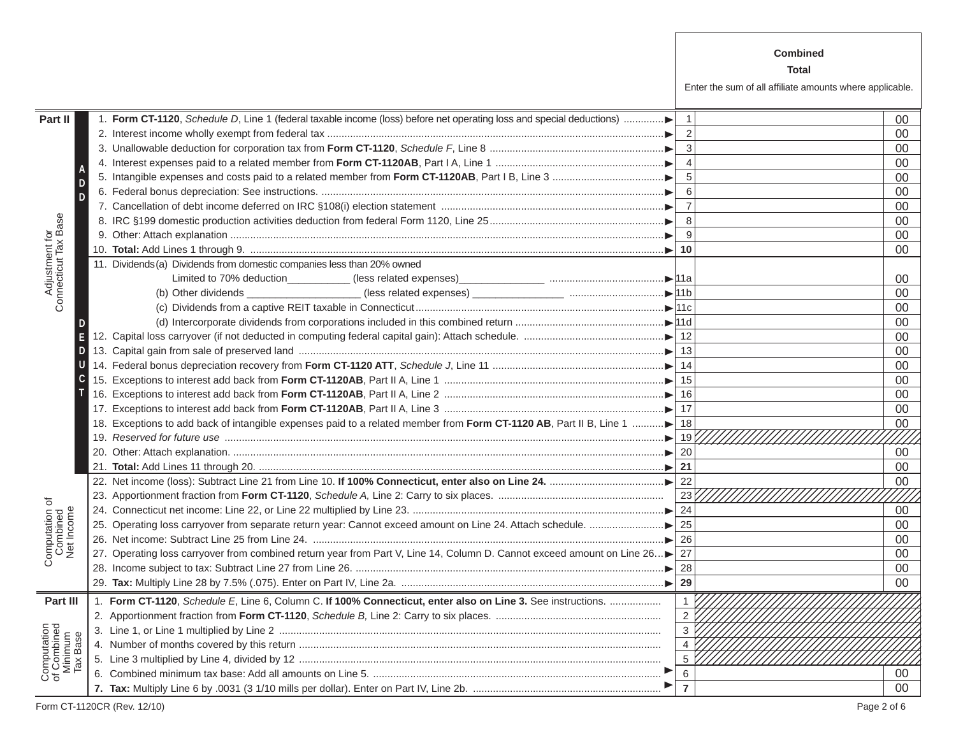|                                                                                                                      |    | <b>Combined</b>                                          |    |
|----------------------------------------------------------------------------------------------------------------------|----|----------------------------------------------------------|----|
|                                                                                                                      |    | Total                                                    |    |
|                                                                                                                      |    | Enter the sum of all affiliate amounts where applicable. |    |
|                                                                                                                      |    |                                                          |    |
| 1. Form CT-1120, Schedule D, Line 1 (federal taxable income (loss) before net operating loss and special deductions) |    |                                                          | 00 |
|                                                                                                                      |    |                                                          | 00 |
|                                                                                                                      |    |                                                          | 00 |
|                                                                                                                      |    |                                                          | 00 |
|                                                                                                                      |    |                                                          | 00 |
|                                                                                                                      |    |                                                          | 00 |
|                                                                                                                      |    |                                                          | 00 |
|                                                                                                                      |    |                                                          | 00 |
|                                                                                                                      |    |                                                          | 00 |
|                                                                                                                      | 10 |                                                          | 00 |
| 11. Dividends (a) Dividends from domestic companies less than 20% owned                                              |    |                                                          |    |

|                                                   |                                                                                                                            |                | 00     |
|---------------------------------------------------|----------------------------------------------------------------------------------------------------------------------------|----------------|--------|
|                                                   |                                                                                                                            |                | 00     |
|                                                   |                                                                                                                            | $\overline{4}$ | 00     |
|                                                   |                                                                                                                            | 5              | 00     |
|                                                   |                                                                                                                            | 6              | 00     |
|                                                   |                                                                                                                            | $\overline{7}$ | 00     |
|                                                   |                                                                                                                            | 8              | 00     |
|                                                   |                                                                                                                            | 9              | 00     |
| Adjustment for<br>Connecticut Tax Base            |                                                                                                                            | 10             | 00     |
|                                                   | 11. Dividends (a) Dividends from domestic companies less than 20% owned                                                    |                |        |
|                                                   |                                                                                                                            |                | 00     |
|                                                   |                                                                                                                            |                | 00     |
|                                                   |                                                                                                                            |                | 00     |
|                                                   |                                                                                                                            |                | 00     |
|                                                   |                                                                                                                            |                | 00     |
|                                                   |                                                                                                                            |                | 00     |
|                                                   |                                                                                                                            |                | 00     |
|                                                   |                                                                                                                            |                | 00     |
|                                                   |                                                                                                                            |                | 00     |
|                                                   |                                                                                                                            |                | 00     |
|                                                   | 18. Exceptions to add back of intangible expenses paid to a related member from Form CT-1120 AB, Part II B, Line 1         |                | $00\,$ |
|                                                   |                                                                                                                            |                |        |
|                                                   |                                                                                                                            | 20             | 00     |
|                                                   |                                                                                                                            | 21             | 00     |
|                                                   |                                                                                                                            |                | 00     |
|                                                   |                                                                                                                            | 23 $\vert$     |        |
|                                                   |                                                                                                                            | 24             | 00     |
| Computation of<br>Combined<br>Net Income          |                                                                                                                            | 25             | 00     |
|                                                   |                                                                                                                            | 26             | 00     |
|                                                   | 27. Operating loss carryover from combined return year from Part V, Line 14, Column D. Cannot exceed amount on Line 26> 27 |                | 00     |
|                                                   |                                                                                                                            | 28             | 00     |
|                                                   |                                                                                                                            | 29             | 00     |
| Part III                                          | 1. Form CT-1120, Schedule E, Line 6, Column C. If 100% Connecticut, enter also on Line 3. See instructions.                | $\mathbf{1}$   |        |
|                                                   |                                                                                                                            |                |        |
|                                                   |                                                                                                                            | $\overline{3}$ |        |
| Computation<br>of Combined<br>Minimum<br>Tax Base |                                                                                                                            | $\overline{4}$ |        |
|                                                   |                                                                                                                            | 5              |        |
|                                                   |                                                                                                                            | 6              | 00     |
|                                                   |                                                                                                                            | $\overline{7}$ | $00\,$ |

**Part II**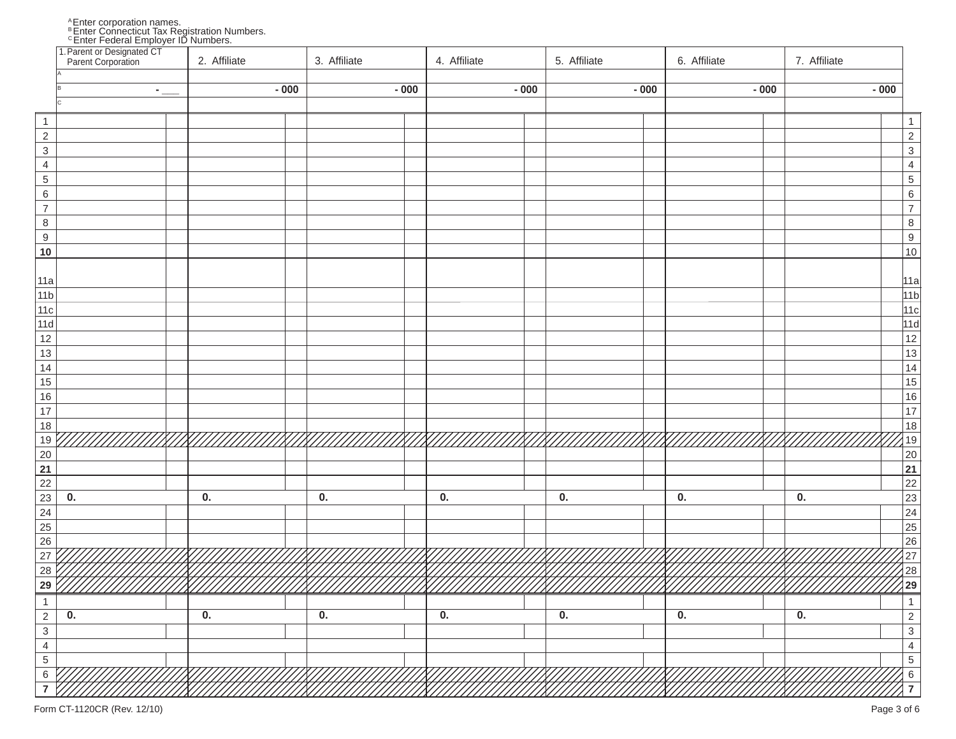A Enter corporation names.<br>B Enter Connecticut Tax Registration Numbers.<br>C Enter Federal Employer ID Numbers.

|                                                           | 1. Parent or Designated CT<br>Parent Corporation | 2. Affiliate              | 3. Affiliate              | 4. Affiliate              | 5. Affiliate              | 6. Affiliate              | 7. Affiliate              |                                                    |
|-----------------------------------------------------------|--------------------------------------------------|---------------------------|---------------------------|---------------------------|---------------------------|---------------------------|---------------------------|----------------------------------------------------|
|                                                           |                                                  | $-000$                    | $-000$                    | $-000$                    | $-000$                    | $-000$                    | $-000$                    |                                                    |
|                                                           | $\overline{\phantom{a}}$                         |                           |                           |                           |                           |                           |                           |                                                    |
| $\overline{1}$                                            |                                                  |                           |                           |                           |                           |                           |                           | $\overline{1}$                                     |
| $\frac{2}{3}$                                             |                                                  |                           |                           |                           |                           |                           |                           | 2<br>3<br>4<br>5<br>6<br>7<br>8<br>9<br>9<br>10    |
|                                                           |                                                  |                           |                           |                           |                           |                           |                           |                                                    |
| $\overline{4}$                                            |                                                  |                           |                           |                           |                           |                           |                           |                                                    |
| $\overline{5}$                                            |                                                  |                           |                           |                           |                           |                           |                           |                                                    |
| $\sqrt{6}$                                                |                                                  |                           |                           |                           |                           |                           |                           |                                                    |
| $\overline{7}$                                            |                                                  |                           |                           |                           |                           |                           |                           |                                                    |
| $\,$ 8 $\,$                                               |                                                  |                           |                           |                           |                           |                           |                           |                                                    |
| $\overline{9}$                                            |                                                  |                           |                           |                           |                           |                           |                           |                                                    |
| 10                                                        |                                                  |                           |                           |                           |                           |                           |                           |                                                    |
| 11a                                                       |                                                  |                           |                           |                           |                           |                           |                           | 11a                                                |
| 11b                                                       |                                                  |                           |                           |                           |                           |                           |                           | 11 <sub>b</sub>                                    |
| 11c                                                       |                                                  |                           |                           |                           |                           |                           |                           | 11c                                                |
| 11d                                                       |                                                  |                           |                           |                           |                           |                           |                           |                                                    |
| 12                                                        |                                                  |                           |                           |                           |                           |                           |                           | 11d<br>12<br>13<br>14<br>15<br>16<br>17<br>18      |
| 13                                                        |                                                  |                           |                           |                           |                           |                           |                           |                                                    |
| 14                                                        |                                                  |                           |                           |                           |                           |                           |                           |                                                    |
| 15                                                        |                                                  |                           |                           |                           |                           |                           |                           |                                                    |
| 16                                                        |                                                  |                           |                           |                           |                           |                           |                           |                                                    |
| $\overline{17}$                                           |                                                  |                           |                           |                           |                           |                           |                           |                                                    |
| $18$                                                      |                                                  |                           |                           |                           |                           |                           |                           |                                                    |
| $19$                                                      |                                                  |                           |                           |                           |                           |                           |                           |                                                    |
| 20                                                        |                                                  |                           |                           |                           |                           |                           |                           | $\frac{19}{20}$<br>$\frac{20}{21}$                 |
| $\overline{21}$                                           |                                                  |                           |                           |                           |                           |                           |                           |                                                    |
|                                                           |                                                  |                           |                           |                           |                           |                           |                           |                                                    |
|                                                           | 0.                                               | 0.                        | 0.                        | 0.                        | 0.                        | 0.                        | 0.                        |                                                    |
| $\begin{array}{r} 22 \\ 23 \\ 24 \\ 25 \\ 26 \end{array}$ |                                                  |                           |                           |                           |                           |                           |                           |                                                    |
|                                                           |                                                  |                           |                           |                           |                           |                           |                           |                                                    |
| $\overline{27}$                                           |                                                  |                           |                           |                           |                           |                           |                           |                                                    |
| $\overline{28}$                                           |                                                  |                           |                           |                           |                           |                           |                           |                                                    |
| $\overline{29}$                                           |                                                  |                           |                           |                           |                           |                           |                           | 22<br>23<br>24<br>25<br>26<br>27<br>28<br>29<br>29 |
| $\mathbf{1}$                                              |                                                  |                           |                           |                           |                           |                           |                           | $\mathbf{1}$                                       |
| $\overline{2}$                                            | 0.                                               | $\overline{\mathbf{0}}$ . | $\overline{\mathbf{0}}$ . | $\overline{\mathbf{0}}$ . | $\overline{\mathbf{0}}$ . | $\overline{\mathbf{0}}$ . | $\overline{\mathbf{0}}$ . |                                                    |
| $\overline{3}$                                            |                                                  |                           |                           |                           |                           |                           |                           | $\frac{2}{3}$                                      |
| $\overline{4}$                                            |                                                  |                           |                           |                           |                           |                           |                           | $\overline{4}$                                     |
| $\overline{5}$                                            |                                                  |                           |                           |                           |                           |                           |                           | $\overline{5}$                                     |
| $\,6\,$                                                   |                                                  |                           |                           |                           |                           |                           |                           | $\,6\,$                                            |
| 7                                                         |                                                  |                           |                           |                           |                           |                           |                           | $\overline{7}$                                     |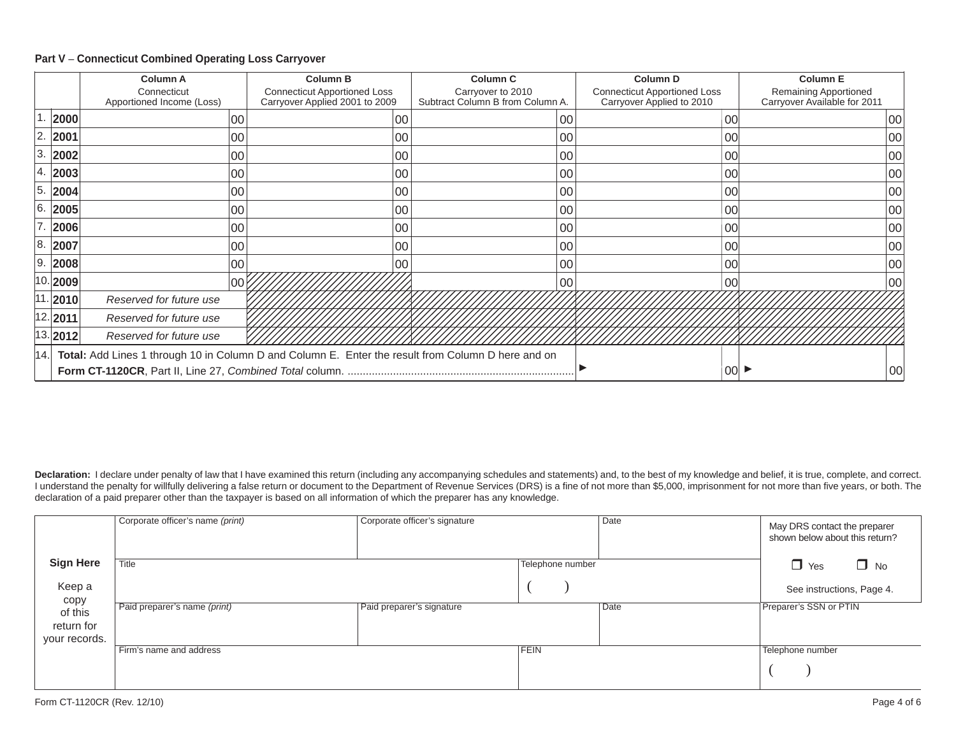#### **Part V** – **Connecticut Combined Operating Loss Carryover**

|                                                                                                        |                     | <b>Column A</b>                          |     | <b>Column B</b> |     | <b>Column C</b>                                                       | <b>Column D</b> |                                                       | <b>Column E</b>                                                  |  |                                                       |
|--------------------------------------------------------------------------------------------------------|---------------------|------------------------------------------|-----|-----------------|-----|-----------------------------------------------------------------------|-----------------|-------------------------------------------------------|------------------------------------------------------------------|--|-------------------------------------------------------|
|                                                                                                        |                     | Connecticut<br>Apportioned Income (Loss) |     |                 |     | <b>Connecticut Apportioned Loss</b><br>Carryover Applied 2001 to 2009 |                 | Carryover to 2010<br>Subtract Column B from Column A. | <b>Connecticut Apportioned Loss</b><br>Carryover Applied to 2010 |  | Remaining Apportioned<br>Carryover Available for 2011 |
|                                                                                                        | 2000                |                                          | 00  |                 | 00  | 00                                                                    |                 | 00                                                    | 00                                                               |  |                                                       |
| 2.                                                                                                     | 2001                |                                          | 00  |                 | 00  | 00                                                                    |                 | 00                                                    | 00                                                               |  |                                                       |
| 3.                                                                                                     | 2002                |                                          | 00  |                 | 00  | 00                                                                    |                 | 00                                                    | 00                                                               |  |                                                       |
| 4.                                                                                                     | 2003                |                                          | 00  |                 | 00  | 00                                                                    |                 | 0C                                                    | 00                                                               |  |                                                       |
| 5.                                                                                                     | 2004                |                                          | 00  |                 | 00  | 00                                                                    |                 | ОС                                                    | 00                                                               |  |                                                       |
| 16.                                                                                                    | 2005                |                                          | 00  |                 | 00  | $00\,$                                                                |                 | 00                                                    | 00                                                               |  |                                                       |
|                                                                                                        | 2006                |                                          | 00  |                 | 00  | 00                                                                    |                 | 00                                                    | 00                                                               |  |                                                       |
| 8.                                                                                                     | 2007                |                                          | 00  |                 | 00  | 00                                                                    |                 | 00                                                    | 00                                                               |  |                                                       |
| 19.                                                                                                    | 2008                |                                          | 100 |                 | ۱೧೧ | $00\,$                                                                |                 | 00                                                    | 00                                                               |  |                                                       |
|                                                                                                        | $ 10. $ <b>2009</b> |                                          | 00  |                 |     | 00                                                                    |                 | 00                                                    | 00                                                               |  |                                                       |
|                                                                                                        | 11. 2010            | Reserved for future use                  |     |                 |     |                                                                       |                 |                                                       |                                                                  |  |                                                       |
|                                                                                                        | 12. 2011            | Reserved for future use                  |     |                 |     |                                                                       |                 |                                                       |                                                                  |  |                                                       |
|                                                                                                        | 13. 2012            | Reserved for future use                  |     |                 |     |                                                                       |                 |                                                       |                                                                  |  |                                                       |
| 14. Total: Add Lines 1 through 10 in Column D and Column E. Enter the result from Column D here and on |                     |                                          |     |                 |     |                                                                       |                 |                                                       |                                                                  |  |                                                       |
|                                                                                                        |                     |                                          |     |                 |     |                                                                       | 00              | 00                                                    |                                                                  |  |                                                       |

Declaration: I declare under penalty of law that I have examined this return (including any accompanying schedules and statements) and, to the best of my knowledge and belief, it is true, complete, and correct. I understand the penalty for willfully delivering a false return or document to the Department of Revenue Services (DRS) is a fine of not more than \$5,000, imprisonment for not more than five years, or both. The declaration of a paid preparer other than the taxpayer is based on all information of which the preparer has any knowledge.

|                                        | Corporate officer's name (print) | Corporate officer's signature |                  | Date | May DRS contact the preparer<br>shown below about this return? |
|----------------------------------------|----------------------------------|-------------------------------|------------------|------|----------------------------------------------------------------|
| <b>Sign Here</b>                       | Title                            |                               | Telephone number |      | $\Box$ Yes<br>$\Box$ No                                        |
| Keep a<br>copy                         |                                  |                               |                  |      | See instructions, Page 4.                                      |
| of this<br>return for<br>your records. | Paid preparer's name (print)     | Paid preparer's signature     |                  | Date | Preparer's SSN or PTIN                                         |
|                                        | Firm's name and address          |                               | <b>FEIN</b>      |      | Telephone number                                               |
|                                        |                                  |                               |                  |      |                                                                |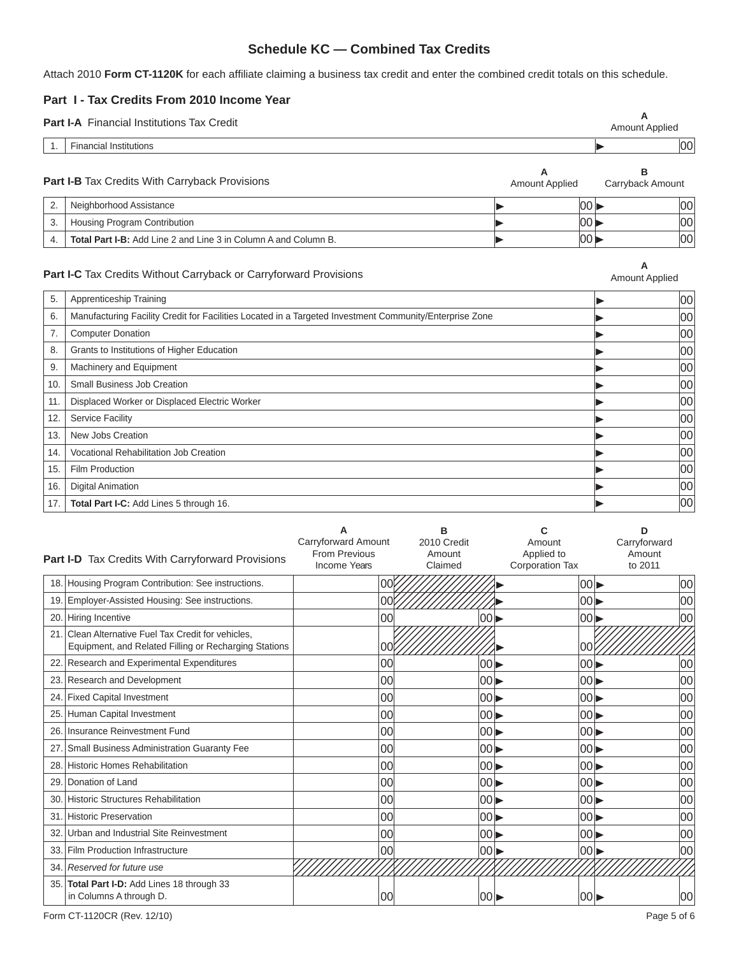## **Schedule KC — Combined Tax Credits**

Attach 2010 Form CT-1120K for each affiliate claiming a business tax credit and enter the combined credit totals on this schedule.

### **Part I - Tax Credits From 2010 Income Year**

| <b>Part I-A</b> Financial Institutions Tax Credit |                                                                        |                            |       | А<br><b>Amount Applied</b> |    |
|---------------------------------------------------|------------------------------------------------------------------------|----------------------------|-------|----------------------------|----|
|                                                   | <b>Financial Institutions</b>                                          |                            |       |                            | 00 |
|                                                   | <b>Part I-B</b> Tax Credits With Carryback Provisions                  | A<br><b>Amount Applied</b> |       | в<br>Carryback Amount      |    |
| 2.                                                | Neighborhood Assistance                                                |                            | 00    |                            | 00 |
| 3.                                                | Housing Program Contribution                                           |                            | 00    |                            | 00 |
| 4.                                                | <b>Total Part I-B:</b> Add Line 2 and Line 3 in Column A and Column B. |                            | 100 D |                            | 00 |
|                                                   |                                                                        |                            |       |                            |    |

#### Part I-C Tax Credits Without Carryback or Carryforward Provisions

**A**<br>Amount Applied

| 5.  | Apprenticeship Training                                                                                 | 00 |
|-----|---------------------------------------------------------------------------------------------------------|----|
| 6.  | Manufacturing Facility Credit for Facilities Located in a Targeted Investment Community/Enterprise Zone | 00 |
| 7.  | <b>Computer Donation</b>                                                                                | 00 |
| 8.  | Grants to Institutions of Higher Education                                                              | 00 |
| 9.  | Machinery and Equipment                                                                                 | 00 |
| 10. | Small Business Job Creation                                                                             | 00 |
| 11. | Displaced Worker or Displaced Electric Worker                                                           | 00 |
| 12. | <b>Service Facility</b>                                                                                 | 00 |
| 13. | New Jobs Creation                                                                                       | 00 |
| 14. | Vocational Rehabilitation Job Creation                                                                  | 00 |
| 15. | Film Production                                                                                         | 00 |
| 16. | <b>Digital Animation</b>                                                                                | 00 |
| 17. | Total Part I-C: Add Lines 5 through 16.                                                                 | 00 |

|     | Part I-D Tax Credits With Carryforward Provisions                                                        | Carryforward Amount<br><b>From Previous</b><br>Income Years | 2010 Credit<br>Amount<br>Claimed | Amount<br>Applied to<br><b>Corporation Tax</b> |                          | ח<br>Carryforward<br>Amount<br>to 2011 |
|-----|----------------------------------------------------------------------------------------------------------|-------------------------------------------------------------|----------------------------------|------------------------------------------------|--------------------------|----------------------------------------|
| 18. | Housing Program Contribution: See instructions.                                                          |                                                             | 00                               |                                                | $ 00\rangle$             | 00                                     |
| 19. | Employer-Assisted Housing: See instructions.                                                             | 00                                                          |                                  |                                                | $00 \blacktriangleright$ | 00                                     |
| 20. | Hiring Incentive                                                                                         | 00                                                          |                                  | 00 I                                           | 001                      | 00                                     |
| 21. | Clean Alternative Fuel Tax Credit for vehicles.<br>Equipment, and Related Filling or Recharging Stations | 00                                                          |                                  |                                                | 100                      |                                        |
| 22. | Research and Experimental Expenditures                                                                   | 00                                                          |                                  | 00 <sub>b</sub>                                | 00                       | 00                                     |
| 23. | <b>Research and Development</b>                                                                          | 00                                                          |                                  | 100 D                                          | $00\blacktriangleright$  | 00                                     |
| 24. | <b>Fixed Capital Investment</b>                                                                          | 00                                                          |                                  |                                                | $00\blacktriangleright$  | 00                                     |
| 25. | Human Capital Investment                                                                                 | 00                                                          |                                  | 100 D                                          | $ 00\rangle$             | 00                                     |
| 26. | Insurance Reinvestment Fund                                                                              | 00                                                          |                                  | IOO D                                          | $00\blacktriangleright$  | 00                                     |
| 27. | <b>Small Business Administration Guaranty Fee</b>                                                        | 00                                                          |                                  | $ 00\rangle$                                   | $ 00\rangle$             | 00                                     |
| 28. | <b>Historic Homes Rehabilitation</b>                                                                     | 00                                                          |                                  | 100 D                                          | $ 00\rangle$             | 00                                     |
| 29. | Donation of Land                                                                                         | 00                                                          |                                  | 00                                             | $00\blacktriangleright$  | 00                                     |
| 30. | Historic Structures Rehabilitation                                                                       | 00                                                          |                                  | 00                                             | $ 00\rangle$             | 00                                     |
| 31  | <b>Historic Preservation</b>                                                                             | 00                                                          |                                  | $ 00\rangle$                                   | $00 \blacktriangleright$ | 00                                     |
| 32. | Urban and Industrial Site Reinvestment                                                                   | 00                                                          |                                  | l00 b                                          | $ 00\rangle$             | 00                                     |
| 33. | <b>Film Production Infrastructure</b>                                                                    | 00                                                          |                                  | 00                                             | 00                       | 00                                     |
| 34. | Reserved for future use                                                                                  |                                                             |                                  |                                                |                          |                                        |
| 35. | Total Part I-D: Add Lines 18 through 33<br>in Columns A through D.                                       | 00                                                          |                                  | l00 D                                          | 00                       | 100                                    |